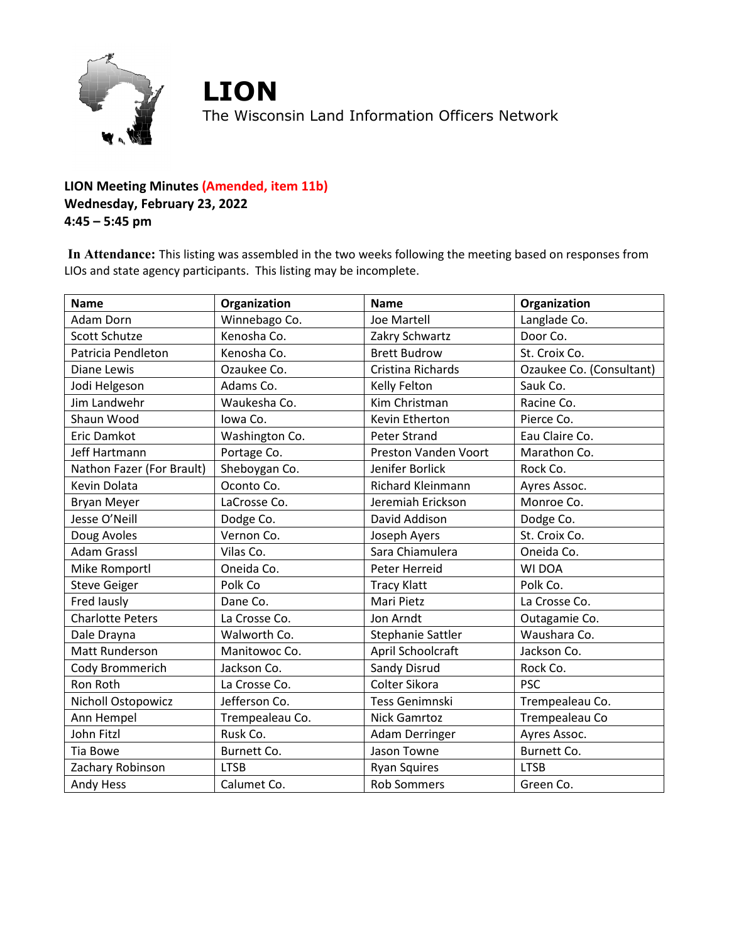

## **LION Meeting Minutes (Amended, item 11b) Wednesday, February 23, 2022 4:45 – 5:45 pm**

**In Attendance:** This listing was assembled in the two weeks following the meeting based on responses from LIOs and state agency participants. This listing may be incomplete.

| <b>Name</b>               | Organization    | <b>Name</b>              | Organization             |
|---------------------------|-----------------|--------------------------|--------------------------|
| <b>Adam Dorn</b>          | Winnebago Co.   | Joe Martell              | Langlade Co.             |
| Scott Schutze             | Kenosha Co.     | Zakry Schwartz           | Door Co.                 |
| Patricia Pendleton        | Kenosha Co.     | <b>Brett Budrow</b>      | St. Croix Co.            |
| <b>Diane Lewis</b>        | Ozaukee Co.     | Cristina Richards        | Ozaukee Co. (Consultant) |
| Jodi Helgeson             | Adams Co.       | Kelly Felton             | Sauk Co.                 |
| Jim Landwehr              | Waukesha Co.    | Kim Christman            | Racine Co.               |
| Shaun Wood                | Iowa Co.        | Kevin Etherton           | Pierce Co.               |
| Eric Damkot               | Washington Co.  | <b>Peter Strand</b>      | Eau Claire Co.           |
| Jeff Hartmann             | Portage Co.     | Preston Vanden Voort     | Marathon Co.             |
| Nathon Fazer (For Brault) | Sheboygan Co.   | Jenifer Borlick          | Rock Co.                 |
| Kevin Dolata              | Oconto Co.      | <b>Richard Kleinmann</b> | Ayres Assoc.             |
| <b>Bryan Meyer</b>        | LaCrosse Co.    | Jeremiah Erickson        | Monroe Co.               |
| Jesse O'Neill             | Dodge Co.       | David Addison            | Dodge Co.                |
| Doug Avoles               | Vernon Co.      | Joseph Ayers             | St. Croix Co.            |
| <b>Adam Grassl</b>        | Vilas Co.       | Sara Chiamulera          | Oneida Co.               |
| Mike Romportl             | Oneida Co.      | Peter Herreid            | WI DOA                   |
| <b>Steve Geiger</b>       | Polk Co         | <b>Tracy Klatt</b>       | Polk Co.                 |
| Fred lausly               | Dane Co.        | Mari Pietz               | La Crosse Co.            |
| <b>Charlotte Peters</b>   | La Crosse Co.   | Jon Arndt                | Outagamie Co.            |
| Dale Drayna               | Walworth Co.    | Stephanie Sattler        | Waushara Co.             |
| Matt Runderson            | Manitowoc Co.   | April Schoolcraft        | Jackson Co.              |
| Cody Brommerich           | Jackson Co.     | Sandy Disrud             | Rock Co.                 |
| Ron Roth                  | La Crosse Co.   | Colter Sikora            | <b>PSC</b>               |
| Nicholl Ostopowicz        | Jefferson Co.   | Tess Genimnski           | Trempealeau Co.          |
| Ann Hempel                | Trempealeau Co. | Nick Gamrtoz             | Trempealeau Co           |
| John Fitzl                | Rusk Co.        | Adam Derringer           | Ayres Assoc.             |
| <b>Tia Bowe</b>           | Burnett Co.     | Jason Towne              | Burnett Co.              |
| Zachary Robinson          | <b>LTSB</b>     | <b>Ryan Squires</b>      | <b>LTSB</b>              |
| <b>Andy Hess</b>          | Calumet Co.     | <b>Rob Sommers</b>       | Green Co.                |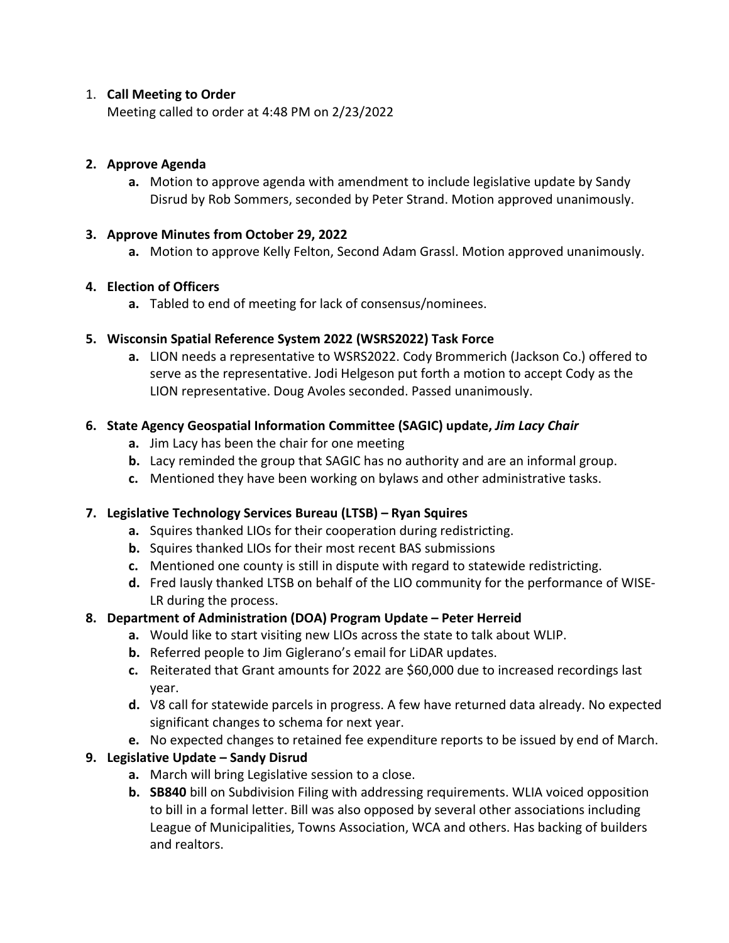#### 1. **Call Meeting to Order**

Meeting called to order at 4:48 PM on 2/23/2022

## **2. Approve Agenda**

**a.** Motion to approve agenda with amendment to include legislative update by Sandy Disrud by Rob Sommers, seconded by Peter Strand. Motion approved unanimously.

### **3. Approve Minutes from October 29, 2022**

**a.** Motion to approve Kelly Felton, Second Adam Grassl. Motion approved unanimously.

## **4. Election of Officers**

**a.** Tabled to end of meeting for lack of consensus/nominees.

## **5. Wisconsin Spatial Reference System 2022 (WSRS2022) Task Force**

**a.** LION needs a representative to WSRS2022. Cody Brommerich (Jackson Co.) offered to serve as the representative. Jodi Helgeson put forth a motion to accept Cody as the LION representative. Doug Avoles seconded. Passed unanimously.

## **6. State Agency Geospatial Information Committee (SAGIC) update,** *Jim Lacy Chair*

- **a.** Jim Lacy has been the chair for one meeting
- **b.** Lacy reminded the group that SAGIC has no authority and are an informal group.
- **c.** Mentioned they have been working on bylaws and other administrative tasks.

# **7. Legislative Technology Services Bureau (LTSB) – Ryan Squires**

- **a.** Squires thanked LIOs for their cooperation during redistricting.
- **b.** Squires thanked LIOs for their most recent BAS submissions
- **c.** Mentioned one county is still in dispute with regard to statewide redistricting.
- **d.** Fred Iausly thanked LTSB on behalf of the LIO community for the performance of WISE-LR during the process.

# **8. Department of Administration (DOA) Program Update – Peter Herreid**

- **a.** Would like to start visiting new LIOs across the state to talk about WLIP.
- **b.** Referred people to Jim Giglerano's email for LiDAR updates.
- **c.** Reiterated that Grant amounts for 2022 are \$60,000 due to increased recordings last year.
- **d.** V8 call for statewide parcels in progress. A few have returned data already. No expected significant changes to schema for next year.
- **e.** No expected changes to retained fee expenditure reports to be issued by end of March.

# **9. Legislative Update – Sandy Disrud**

- **a.** March will bring Legislative session to a close.
- **b. SB840** bill on Subdivision Filing with addressing requirements. WLIA voiced opposition to bill in a formal letter. Bill was also opposed by several other associations including League of Municipalities, Towns Association, WCA and others. Has backing of builders and realtors.